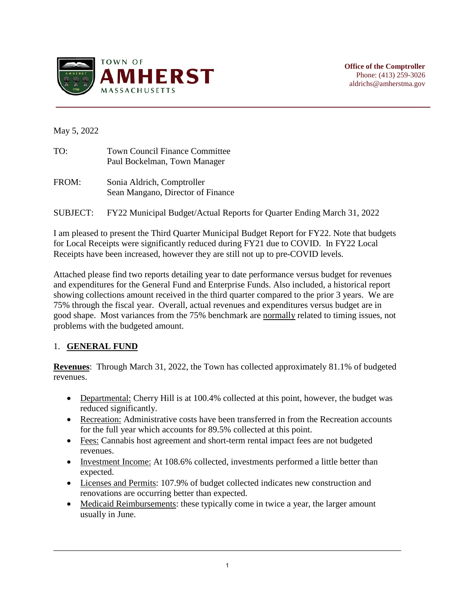

**Office of the Comptroller** Phone: (413) 259-3026 aldrichs@amherstma.gov

May 5, 2022

| TO: | <b>Town Council Finance Committee</b> |
|-----|---------------------------------------|
|     | Paul Bockelman, Town Manager          |

- FROM: Sonia Aldrich, Comptroller Sean Mangano, Director of Finance
- SUBJECT: FY22 Municipal Budget/Actual Reports for Quarter Ending March 31, 2022

I am pleased to present the Third Quarter Municipal Budget Report for FY22. Note that budgets for Local Receipts were significantly reduced during FY21 due to COVID. In FY22 Local Receipts have been increased, however they are still not up to pre-COVID levels.

Attached please find two reports detailing year to date performance versus budget for revenues and expenditures for the General Fund and Enterprise Funds. Also included, a historical report showing collections amount received in the third quarter compared to the prior 3 years. We are 75% through the fiscal year. Overall, actual revenues and expenditures versus budget are in good shape. Most variances from the 75% benchmark are normally related to timing issues, not problems with the budgeted amount.

# 1. **GENERAL FUND**

**Revenues**: Through March 31, 2022, the Town has collected approximately 81.1% of budgeted revenues.

- Departmental: Cherry Hill is at 100.4% collected at this point, however, the budget was reduced significantly.
- Recreation: Administrative costs have been transferred in from the Recreation accounts for the full year which accounts for 89.5% collected at this point.
- Fees: Cannabis host agreement and short-term rental impact fees are not budgeted revenues.
- Investment Income: At 108.6% collected, investments performed a little better than expected.
- Licenses and Permits: 107.9% of budget collected indicates new construction and renovations are occurring better than expected.
- Medicaid Reimbursements: these typically come in twice a year, the larger amount usually in June.

\_\_\_\_\_\_\_\_\_\_\_\_\_\_\_\_\_\_\_\_\_\_\_\_\_\_\_\_\_\_\_\_\_\_\_\_\_\_\_\_\_\_\_\_\_\_\_\_\_\_\_\_\_\_\_\_\_\_\_\_\_\_\_\_\_\_\_\_\_\_\_\_\_\_\_\_\_\_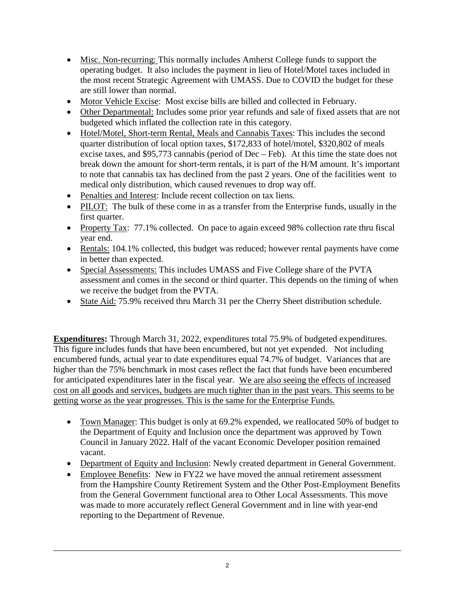- Misc. Non-recurring: This normally includes Amherst College funds to support the operating budget. It also includes the payment in lieu of Hotel/Motel taxes included in the most recent Strategic Agreement with UMASS. Due to COVID the budget for these are still lower than normal.
- Motor Vehicle Excise: Most excise bills are billed and collected in February.
- Other Departmental: Includes some prior year refunds and sale of fixed assets that are not budgeted which inflated the collection rate in this category.
- Hotel/Motel, Short-term Rental, Meals and Cannabis Taxes: This includes the second quarter distribution of local option taxes, \$172,833 of hotel/motel, \$320,802 of meals excise taxes, and \$95,773 cannabis (period of Dec – Feb). At this time the state does not break down the amount for short-term rentals, it is part of the H/M amount. It's important to note that cannabis tax has declined from the past 2 years. One of the facilities went to medical only distribution, which caused revenues to drop way off.
- Penalties and Interest: Include recent collection on tax liens.
- PILOT: The bulk of these come in as a transfer from the Enterprise funds, usually in the first quarter.
- Property Tax: 77.1% collected. On pace to again exceed 98% collection rate thru fiscal year end.
- Rentals: 104.1% collected, this budget was reduced; however rental payments have come in better than expected.
- Special Assessments: This includes UMASS and Five College share of the PVTA assessment and comes in the second or third quarter. This depends on the timing of when we receive the budget from the PVTA.
- State Aid: 75.9% received thru March 31 per the Cherry Sheet distribution schedule.

**Expenditures:** Through March 31, 2022, expenditures total 75.9% of budgeted expenditures. This figure includes funds that have been encumbered, but not yet expended. Not including encumbered funds, actual year to date expenditures equal 74.7% of budget. Variances that are higher than the 75% benchmark in most cases reflect the fact that funds have been encumbered for anticipated expenditures later in the fiscal year. We are also seeing the effects of increased cost on all goods and services, budgets are much tighter than in the past years. This seems to be getting worse as the year progresses. This is the same for the Enterprise Funds.

- Town Manager: This budget is only at 69.2% expended, we reallocated 50% of budget to the Department of Equity and Inclusion once the department was approved by Town Council in January 2022. Half of the vacant Economic Developer position remained vacant.
- Department of Equity and Inclusion: Newly created department in General Government.
- Employee Benefits: New in FY22 we have moved the annual retirement assessment from the Hampshire County Retirement System and the Other Post-Employment Benefits from the General Government functional area to Other Local Assessments. This move was made to more accurately reflect General Government and in line with year-end reporting to the Department of Revenue.

\_\_\_\_\_\_\_\_\_\_\_\_\_\_\_\_\_\_\_\_\_\_\_\_\_\_\_\_\_\_\_\_\_\_\_\_\_\_\_\_\_\_\_\_\_\_\_\_\_\_\_\_\_\_\_\_\_\_\_\_\_\_\_\_\_\_\_\_\_\_\_\_\_\_\_\_\_\_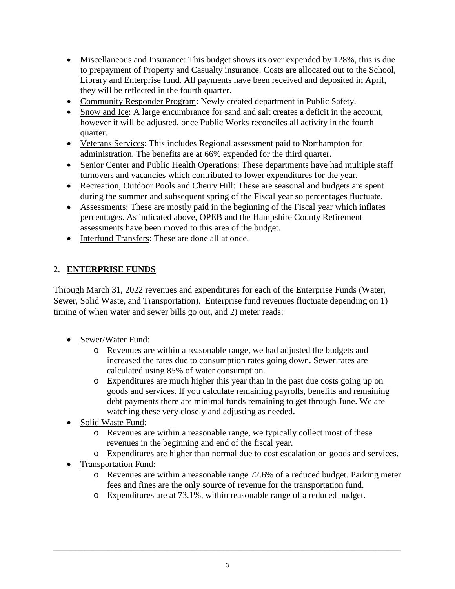- Miscellaneous and Insurance: This budget shows its over expended by 128%, this is due to prepayment of Property and Casualty insurance. Costs are allocated out to the School, Library and Enterprise fund. All payments have been received and deposited in April, they will be reflected in the fourth quarter.
- Community Responder Program: Newly created department in Public Safety.
- Snow and Ice: A large encumbrance for sand and salt creates a deficit in the account, however it will be adjusted, once Public Works reconciles all activity in the fourth quarter.
- Veterans Services: This includes Regional assessment paid to Northampton for administration. The benefits are at 66% expended for the third quarter.
- Senior Center and Public Health Operations: These departments have had multiple staff turnovers and vacancies which contributed to lower expenditures for the year.
- Recreation, Outdoor Pools and Cherry Hill: These are seasonal and budgets are spent during the summer and subsequent spring of the Fiscal year so percentages fluctuate.
- Assessments: These are mostly paid in the beginning of the Fiscal year which inflates percentages. As indicated above, OPEB and the Hampshire County Retirement assessments have been moved to this area of the budget.
- Interfund Transfers: These are done all at once.

# 2. **ENTERPRISE FUNDS**

Through March 31, 2022 revenues and expenditures for each of the Enterprise Funds (Water, Sewer, Solid Waste, and Transportation). Enterprise fund revenues fluctuate depending on 1) timing of when water and sewer bills go out, and 2) meter reads:

- Sewer/Water Fund:
	- o Revenues are within a reasonable range, we had adjusted the budgets and increased the rates due to consumption rates going down. Sewer rates are calculated using 85% of water consumption.
	- o Expenditures are much higher this year than in the past due costs going up on goods and services. If you calculate remaining payrolls, benefits and remaining debt payments there are minimal funds remaining to get through June. We are watching these very closely and adjusting as needed.
- Solid Waste Fund:
	- o Revenues are within a reasonable range, we typically collect most of these revenues in the beginning and end of the fiscal year.
	- o Expenditures are higher than normal due to cost escalation on goods and services.
- Transportation Fund:
	- o Revenues are within a reasonable range 72.6% of a reduced budget. Parking meter fees and fines are the only source of revenue for the transportation fund.
	- o Expenditures are at 73.1%, within reasonable range of a reduced budget.

\_\_\_\_\_\_\_\_\_\_\_\_\_\_\_\_\_\_\_\_\_\_\_\_\_\_\_\_\_\_\_\_\_\_\_\_\_\_\_\_\_\_\_\_\_\_\_\_\_\_\_\_\_\_\_\_\_\_\_\_\_\_\_\_\_\_\_\_\_\_\_\_\_\_\_\_\_\_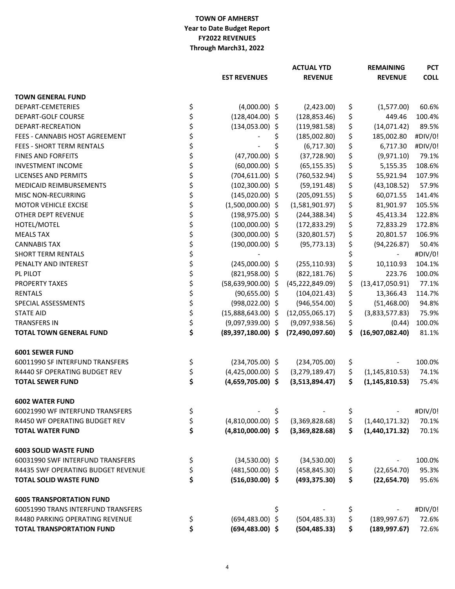### **TOWN OF AMHERST Year to Date Budget Report FY2022 REVENUES Through March31, 2022**

|                                    |    |                        |    | <b>ACTUAL YTD</b> |    | <b>REMAINING</b>             |             |
|------------------------------------|----|------------------------|----|-------------------|----|------------------------------|-------------|
|                                    |    | <b>EST REVENUES</b>    |    | <b>REVENUE</b>    |    | <b>REVENUE</b>               | <b>COLL</b> |
| <b>TOWN GENERAL FUND</b>           |    |                        |    |                   |    |                              |             |
| DEPART-CEMETERIES                  | \$ | $(4,000.00)$ \$        |    | (2,423.00)        | \$ | (1,577.00)                   | 60.6%       |
| DEPART-GOLF COURSE                 | \$ | $(128, 404.00)$ \$     |    | (128, 853.46)     | \$ | 449.46                       | 100.4%      |
| DEPART-RECREATION                  | \$ | $(134,053.00)$ \$      |    | (119, 981.58)     | \$ | (14,071.42)                  | 89.5%       |
| FEES - CANNABIS HOST AGREEMENT     | \$ |                        | \$ | (185,002.80)      | \$ | 185,002.80                   | #DIV/0!     |
| <b>FEES - SHORT TERM RENTALS</b>   | \$ |                        | \$ | (6,717.30)        | \$ | 6,717.30                     | #DIV/0!     |
| <b>FINES AND FORFEITS</b>          | \$ | $(47,700.00)$ \$       |    | (37, 728.90)      | \$ | (9,971.10)                   | 79.1%       |
| <b>INVESTMENT INCOME</b>           | \$ | $(60,000.00)$ \$       |    | (65, 155.35)      | \$ | 5,155.35                     | 108.6%      |
| <b>LICENSES AND PERMITS</b>        | \$ | $(704, 611.00)$ \$     |    | (760, 532.94)     | \$ | 55,921.94                    | 107.9%      |
| <b>MEDICAID REIMBURSEMENTS</b>     | \$ | $(102,300.00)$ \$      |    | (59, 191.48)      | \$ | (43, 108.52)                 | 57.9%       |
| <b>MISC NON-RECURRING</b>          | \$ | $(145,020.00)$ \$      |    | (205,091.55)      | \$ | 60,071.55                    | 141.4%      |
| <b>MOTOR VEHICLE EXCISE</b>        | \$ | $(1,500,000.00)$ \$    |    | (1,581,901.97)    | \$ | 81,901.97                    | 105.5%      |
| OTHER DEPT REVENUE                 | \$ | $(198, 975.00)$ \$     |    | (244, 388.34)     | \$ | 45,413.34                    | 122.8%      |
| HOTEL/MOTEL                        | \$ | $(100,000.00)$ \$      |    | (172, 833.29)     | \$ | 72,833.29                    | 172.8%      |
| <b>MEALS TAX</b>                   | \$ | $(300,000.00)$ \$      |    | (320, 801.57)     | \$ | 20,801.57                    | 106.9%      |
| <b>CANNABIS TAX</b>                | \$ | $(190,000.00)$ \$      |    | (95, 773.13)      | \$ | (94, 226.87)                 | 50.4%       |
| <b>SHORT TERM RENTALS</b>          | \$ |                        |    |                   | \$ | $\overline{\phantom{a}}$     | #DIV/0!     |
| PENALTY AND INTEREST               | \$ | $(245,000.00)$ \$      |    | (255, 110.93)     | \$ | 10,110.93                    | 104.1%      |
| PL PILOT                           | \$ | $(821,958.00)$ \$      |    | (822, 181.76)     | \$ | 223.76                       | 100.0%      |
| <b>PROPERTY TAXES</b>              | \$ | $(58, 639, 900.00)$ \$ |    | (45, 222, 849.09) | \$ | (13, 417, 050.91)            | 77.1%       |
| <b>RENTALS</b>                     | \$ | $(90,655.00)$ \$       |    | (104, 021.43)     | \$ | 13,366.43                    | 114.7%      |
| SPECIAL ASSESSMENTS                | \$ | $(998, 022.00)$ \$     |    | (946, 554.00)     | \$ | (51, 468.00)                 | 94.8%       |
| <b>STATE AID</b>                   | \$ | $(15,888,643.00)$ \$   |    | (12,055,065.17)   | \$ | (3,833,577.83)               | 75.9%       |
| <b>TRANSFERS IN</b>                | \$ | $(9,097,939.00)$ \$    |    | (9,097,938.56)    | \$ | (0.44)                       | 100.0%      |
| <b>TOTAL TOWN GENERAL FUND</b>     | \$ | $(89,397,180.00)$ \$   |    | (72, 490, 097.60) | \$ | (16,907,082.40)              | 81.1%       |
| <b>6001 SEWER FUND</b>             |    |                        |    |                   |    |                              |             |
| 60011990 SF INTERFUND TRANSFERS    | \$ | $(234,705.00)$ \$      |    | (234, 705.00)     | \$ |                              | 100.0%      |
| R4440 SF OPERATING BUDGET REV      | Ļ  | $(4,425,000.00)$ \$    |    | (3, 279, 189.47)  |    | $\frac{1}{2}$ (1,145,810.53) | 74.1%       |
| <b>TOTAL SEWER FUND</b>            | \$ | $(4,659,705.00)$ \$    |    | (3,513,894.47)    | S. | (1, 145, 810.53)             | 75.4%       |
| <b>6002 WATER FUND</b>             |    |                        |    |                   |    |                              |             |
| 60021990 WF INTERFUND TRANSFERS    | \$ |                        | \$ |                   | \$ |                              | #DIV/0!     |
| R4450 WF OPERATING BUDGET REV      | \$ | $(4,810,000.00)$ \$    |    | (3,369,828.68)    | \$ | (1,440,171.32)               | 70.1%       |
| <b>TOTAL WATER FUND</b>            | \$ | $(4,810,000.00)$ \$    |    | (3,369,828.68)    | \$ | (1,440,171.32)               | 70.1%       |
| <b>6003 SOLID WASTE FUND</b>       |    |                        |    |                   |    |                              |             |
| 60031990 SWF INTERFUND TRANSFERS   | \$ | $(34,530.00)$ \$       |    | (34,530.00)       | \$ |                              | 100.0%      |
| R4435 SWF OPERATING BUDGET REVENUE | \$ | $(481,500.00)$ \$      |    | (458, 845.30)     | \$ | (22, 654.70)                 | 95.3%       |
| <b>TOTAL SOLID WASTE FUND</b>      | \$ | $(516,030.00)$ \$      |    | (493, 375.30)     | \$ | (22, 654.70)                 | 95.6%       |
| <b>6005 TRANSPORTATION FUND</b>    |    |                        |    |                   |    |                              |             |
| 60051990 TRANS INTERFUND TRANSFERS |    |                        | \$ |                   | Ş  |                              | #DIV/0!     |
| R4480 PARKING OPERATING REVENUE    | \$ | $(694, 483.00)$ \$     |    | (504, 485.33)     | \$ | (189, 997.67)                | 72.6%       |
| <b>TOTAL TRANSPORTATION FUND</b>   | \$ | $(694, 483.00)$ \$     |    | (504, 485.33)     | \$ | (189, 997.67)                | 72.6%       |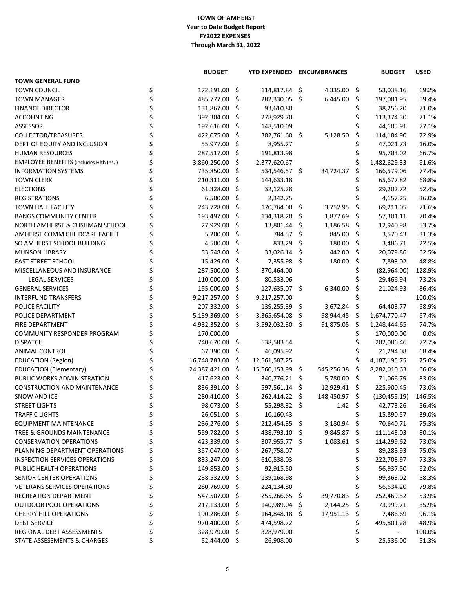## **TOWN OF AMHERST FY2022 EXPENSES Through March 31, 2022 Year to Date Budget Report**

|                                               | <b>BUDGET</b>    |                    | <b>YTD EXPENDED ENCUMBRANCES</b> |      |                |     | <b>BUDGET</b> | <b>USED</b> |
|-----------------------------------------------|------------------|--------------------|----------------------------------|------|----------------|-----|---------------|-------------|
| <b>TOWN GENERAL FUND</b>                      |                  |                    |                                  |      |                |     |               |             |
| <b>TOWN COUNCIL</b>                           | \$<br>172,191.00 | -\$                | 114,817.84 \$                    |      | 4,335.00 \$    |     | 53,038.16     | 69.2%       |
| <b>TOWN MANAGER</b>                           | 485,777.00       | \$                 | 282,330.05 \$                    |      | 6,445.00       | \$  | 197,001.95    | 59.4%       |
| <b>FINANCE DIRECTOR</b>                       | 131,867.00       | \$                 | 93,610.80                        |      |                |     | 38,256.20     | 71.0%       |
| <b>ACCOUNTING</b>                             | 392,304.00       | S                  | 278,929.70                       |      |                |     | 113,374.30    | 71.1%       |
| ASSESSOR                                      | 192,616.00       | S                  | 148,510.09                       |      |                |     | 44,105.91     | 77.1%       |
| COLLECTOR/TREASURER                           | 422,075.00       | \$.                | 302,761.60 \$                    |      | 5,128.50       | \$  | 114,184.90    | 72.9%       |
| DEPT OF EQUITY AND INCLUSION                  | 55,977.00        | \$                 | 8,955.27                         |      |                |     | 47,021.73     | 16.0%       |
| <b>HUMAN RESOURCES</b>                        | 287,517.00       | S                  | 191,813.98                       |      |                |     | 95,703.02     | 66.7%       |
| <b>EMPLOYEE BENEFITS (includes Hith Ins.)</b> | 3,860,250.00     | \$.                | 2,377,620.67                     |      |                |     | 1,482,629.33  | 61.6%       |
| <b>INFORMATION SYSTEMS</b>                    | 735,850.00       | \$.                | 534,546.57 \$                    |      | 34,724.37      | S.  | 166,579.06    | 77.4%       |
| <b>TOWN CLERK</b>                             | 210,311.00       | \$                 | 144,633.18                       |      |                |     | 65,677.82     | 68.8%       |
| <b>ELECTIONS</b>                              | 61,328.00        | \$.                | 32,125.28                        |      |                |     | 29,202.72     | 52.4%       |
| <b>REGISTRATIONS</b>                          | 6,500.00         | S                  | 2,342.75                         |      |                |     | 4,157.25      | 36.0%       |
| TOWN HALL FACILITY                            | 243,728.00       | \$.                | 170,764.00 \$                    |      | 3,752.95       | \$  | 69,211.05     | 71.6%       |
| <b>BANGS COMMUNITY CENTER</b>                 | 193,497.00       | \$.                | 134,318.20 \$                    |      | 1,877.69 \$    |     | 57,301.11     | 70.4%       |
| NORTH AMHERST & CUSHMAN SCHOOL                | 27,929.00        | \$                 | 13,801.44 \$                     |      | $1,186.58$ \$  |     | 12,940.98     | 53.7%       |
| AMHERST COMM CHILDCARE FACILIT                | 5,200.00         | \$                 | 784.57 \$                        |      | 845.00         | -\$ | 3,570.43      | 31.3%       |
| SO AMHERST SCHOOL BUILDING                    | 4,500.00         | \$                 | 833.29                           | - \$ | 180.00         | -\$ | 3,486.71      | 22.5%       |
| <b>MUNSON LIBRARY</b>                         | 53,548.00        | S                  | 33,026.14 \$                     |      | 442.00 \$      |     | 20,079.86     | 62.5%       |
| <b>EAST STREET SCHOOL</b>                     | 15,429.00        | \$                 | $7,355.98$ \$                    |      | 180.00         | \$. | 7,893.02      | 48.8%       |
| MISCELLANEOUS AND INSURANCE                   | 287,500.00       | -Ş                 | 370,464.00                       |      |                |     | (82,964.00)   | 128.9%      |
| <b>LEGAL SERVICES</b>                         | 110,000.00       | \$                 | 80,533.06                        |      |                |     | 29,466.94     | 73.2%       |
| <b>GENERAL SERVICES</b>                       | 155,000.00       | S                  | 127,635.07 \$                    |      | 6,340.00       |     | 21,024.93     | 86.4%       |
| <b>INTERFUND TRANSFERS</b>                    | 9,217,257.00     | S                  | 9,217,257.00                     |      |                |     |               | 100.0%      |
| POLICE FACILITY                               | 207,332.00       | \$.                | $139,255.39$ \$                  |      | 3,672.84       | -\$ | 64,403.77     | 68.9%       |
| POLICE DEPARTMENT                             | 5,139,369.00     | $\ddot{\varsigma}$ | $3,365,654.08$ \$                |      | 98,944.45 \$   |     | 1,674,770.47  | 67.4%       |
| FIRE DEPARTMENT                               | 4,932,352.00     | \$                 | 3,592,032.30 \$                  |      | 91,875.05      | -\$ |               | 74.7%       |
| <b>COMMUNITY RESPONDER PROGRAM</b>            | 170,000.00       |                    |                                  |      |                |     | 1,248,444.65  | 0.0%        |
|                                               | 740,670.00 \$    |                    |                                  |      |                |     | 170,000.00    |             |
| <b>DISPATCH</b>                               |                  |                    | 538,583.54                       |      |                | Ş   | 202,086.46    | 72.7%       |
| <b>ANIMAL CONTROL</b>                         | 67,390.00 \$     |                    | 46,095.92                        |      |                | Ş   | 21,294.08     | 68.4%       |
| <b>EDUCATION (Region)</b>                     | 16,748,783.00 \$ |                    | 12,561,587.25                    |      |                |     | 4,187,195.75  | 75.0%       |
| <b>EDUCATION (Elementary)</b>                 | 24,387,421.00 \$ |                    | 15,560,153.99 \$                 |      | 545,256.38 \$  |     | 8,282,010.63  | 66.0%       |
| PUBLIC WORKS ADMINISTRATION                   | 417,623.00 \$    |                    | 340,776.21 \$                    |      | 5,780.00 \$    |     | 71,066.79     | 83.0%       |
| <b>CONSTRUCTION AND MAINTENANCE</b>           | 836,391.00       | -Ş                 | 597,561.14 \$                    |      | $12,929.41$ \$ |     | 225,900.45    | 73.0%       |
| SNOW AND ICE                                  | 280,410.00       | S                  | 262,414.22 \$                    |      | 148,450.97 \$  |     | (130, 455.19) | 146.5%      |
| <b>STREET LIGHTS</b>                          | 98,073.00 \$     |                    | 55,298.32 \$                     |      | 1.42 \$        |     | 42,773.26     | 56.4%       |
| <b>TRAFFIC LIGHTS</b>                         | 26,051.00 \$     |                    | 10,160.43                        |      |                |     | 15,890.57     | 39.0%       |
| <b>EQUIPMENT MAINTENANCE</b>                  | 286,276.00       | -Ş                 | 212,454.35 \$                    |      | $3,180.94$ \$  |     | 70,640.71     | 75.3%       |
| TREE & GROUNDS MAINTENANCE                    | 559,782.00       | S                  | 438,793.10 \$                    |      | $9,845.87$ \$  |     | 111,143.03    | 80.1%       |
| <b>CONSERVATION OPERATIONS</b>                | 423,339.00       | S                  | 307,955.77 \$                    |      | $1,083.61$ \$  |     | 114,299.62    | 73.0%       |
| PLANNING DEPARTMENT OPERATIONS                | 357,047.00 \$    |                    | 267,758.07                       |      |                |     | 89,288.93     | 75.0%       |
| <b>INSPECTION SERVICES OPERATIONS</b>         | 833,247.00 \$    |                    | 610,538.03                       |      |                |     | 222,708.97    | 73.3%       |
| PUBLIC HEALTH OPERATIONS                      | 149,853.00       | \$.                | 92,915.50                        |      |                |     | 56,937.50     | 62.0%       |
| SENIOR CENTER OPERATIONS                      | 238,532.00       | -Ş                 | 139,168.98                       |      |                |     | 99,363.02     | 58.3%       |
| <b>VETERANS SERVICES OPERATIONS</b>           | 280,769.00       | S                  | 224,134.80                       |      |                |     | 56,634.20     | 79.8%       |
| RECREATION DEPARTMENT                         | 547,507.00 \$    |                    | 255,266.65 \$                    |      | 39,770.83 \$   |     | 252,469.52    | 53.9%       |
| <b>OUTDOOR POOL OPERATIONS</b>                | 217,133.00 \$    |                    | 140,989.04 \$                    |      | $2,144.25$ \$  |     | 73,999.71     | 65.9%       |
| <b>CHERRY HILL OPERATIONS</b>                 | 190,286.00       | -Ş                 | 164,848.18 \$                    |      | $17,951.13$ \$ |     | 7,486.69      | 96.1%       |
| <b>DEBT SERVICE</b>                           | 970,400.00       | S                  | 474,598.72                       |      |                |     | 495,801.28    | 48.9%       |
| REGIONAL DEBT ASSESSMENTS                     | 328,979.00       | S                  | 328,979.00                       |      |                |     |               | 100.0%      |
| STATE ASSESSMENTS & CHARGES                   | 52,444.00 \$     |                    | 26,908.00                        |      |                | \$  | 25,536.00     | 51.3%       |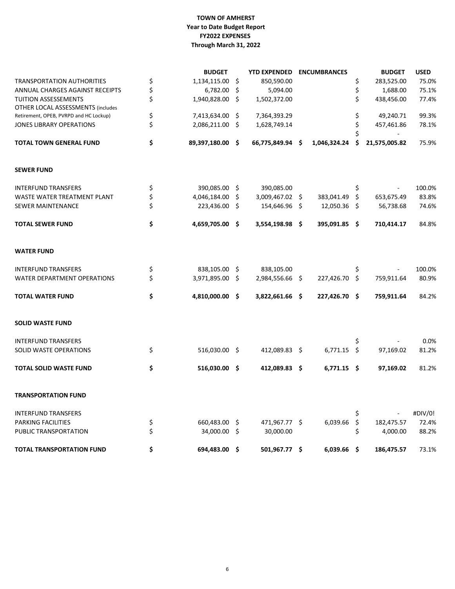## **TOWN OF AMHERST FY2022 EXPENSES Through March 31, 2022 Year to Date Budget Report**

|                                          | <b>BUDGET</b>         |     | <b>YTD EXPENDED</b> | <b>ENCUMBRANCES</b> |    | <b>BUDGET</b> | <b>USED</b> |
|------------------------------------------|-----------------------|-----|---------------------|---------------------|----|---------------|-------------|
| <b>TRANSPORTATION AUTHORITIES</b>        | \$<br>1,134,115.00    | \$  | 850,590.00          |                     | \$ | 283,525.00    | 75.0%       |
| ANNUAL CHARGES AGAINST RECEIPTS          | \$<br>6,782.00        | -S  | 5,094.00            |                     | \$ | 1,688.00      | 75.1%       |
| TUITION ASSESSEMENTS                     | \$<br>1,940,828.00    | -\$ | 1,502,372.00        |                     | \$ | 438,456.00    | 77.4%       |
| <b>OTHER LOCAL ASSESSMENTS (includes</b> |                       |     |                     |                     |    |               |             |
| Retirement, OPEB, PVRPD and HC Lockup)   | \$<br>7,413,634.00 \$ |     | 7,364,393.29        |                     | \$ | 49,240.71     | 99.3%       |
| <b>JONES LIBRARY OPERATIONS</b>          | \$<br>2,086,211.00 \$ |     | 1,628,749.14        |                     | \$ | 457,461.86    | 78.1%       |
| <b>TOTAL TOWN GENERAL FUND</b>           | \$<br>89,397,180.00   | \$  | 66,775,849.94 \$    | 1,046,324.24        | S  | 21,575,005.82 | 75.9%       |
| <b>SEWER FUND</b>                        |                       |     |                     |                     |    |               |             |
| <b>INTERFUND TRANSFERS</b>               | \$<br>390,085.00      | -\$ | 390,085.00          |                     | \$ |               | 100.0%      |
| WASTE WATER TREATMENT PLANT              | \$<br>4,046,184.00    | -S  | 3,009,467.02 \$     | 383,041.49          | \$ | 653,675.49    | 83.8%       |
| <b>SEWER MAINTENANCE</b>                 | \$<br>223,436.00 \$   |     | 154,646.96 \$       | 12,050.36 \$        |    | 56,738.68     | 74.6%       |
| <b>TOTAL SEWER FUND</b>                  | \$<br>4,659,705.00    | \$  | 3,554,198.98 \$     | 395,091.85 \$       |    | 710,414.17    | 84.8%       |
| <b>WATER FUND</b>                        |                       |     |                     |                     |    |               |             |
| <b>INTERFUND TRANSFERS</b>               | \$<br>838,105.00 \$   |     | 838,105.00          |                     | \$ |               | 100.0%      |
| WATER DEPARTMENT OPERATIONS              | \$<br>3,971,895.00    | -\$ | 2,984,556.66 \$     | 227,426.70          | \$ | 759,911.64    | 80.9%       |
| <b>TOTAL WATER FUND</b>                  | \$<br>4,810,000.00    | \$  | 3,822,661.66 \$     | 227,426.70 \$       |    | 759,911.64    | 84.2%       |
| <b>SOLID WASTE FUND</b>                  |                       |     |                     |                     |    |               |             |
| <b>INTERFUND TRANSFERS</b>               |                       |     |                     |                     | \$ |               | 0.0%        |
| SOLID WASTE OPERATIONS                   | \$<br>516,030.00 \$   |     | 412,089.83 \$       | $6,771.15$ \$       |    | 97,169.02     | 81.2%       |
| <b>TOTAL SOLID WASTE FUND</b>            | \$<br>516,030.00 \$   |     | 412,089.83 \$       | $6,771.15$ \$       |    | 97,169.02     | 81.2%       |
| <b>TRANSPORTATION FUND</b>               |                       |     |                     |                     |    |               |             |
| <b>INTERFUND TRANSFERS</b>               |                       |     |                     |                     | \$ |               | #DIV/0!     |
| PARKING FACILITIES                       | \$<br>660,483.00 \$   |     | 471,967.77 \$       | 6,039.66            | \$ | 182,475.57    | 72.4%       |
| PUBLIC TRANSPORTATION                    | \$<br>34,000.00 \$    |     | 30,000.00           |                     | \$ | 4,000.00      | 88.2%       |
| <b>TOTAL TRANSPORTATION FUND</b>         | \$<br>694,483.00 \$   |     | 501,967.77 \$       | $6,039.66$ \$       |    | 186,475.57    | 73.1%       |
|                                          |                       |     |                     |                     |    |               |             |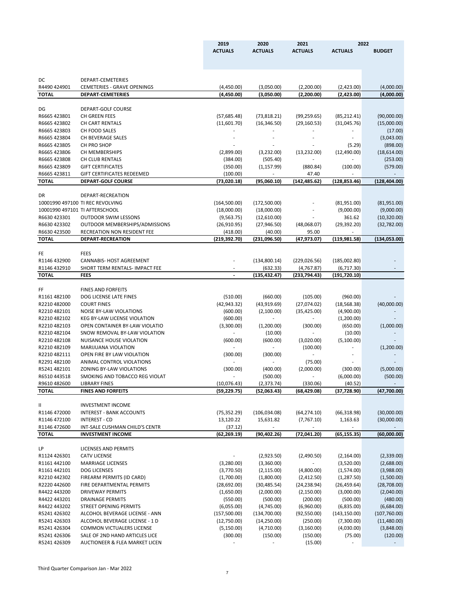|                                |                                                               | 2019           | 2020                    | 2021              | 2022           |               |
|--------------------------------|---------------------------------------------------------------|----------------|-------------------------|-------------------|----------------|---------------|
|                                |                                                               | <b>ACTUALS</b> | <b>ACTUALS</b>          | <b>ACTUALS</b>    | <b>ACTUALS</b> | <b>BUDGET</b> |
|                                |                                                               |                |                         |                   |                |               |
|                                |                                                               |                |                         |                   |                |               |
|                                |                                                               |                |                         |                   |                |               |
| DC                             | DEPART-CEMETERIES                                             |                |                         |                   |                |               |
| R4490 424901                   | <b>CEMETERIES - GRAVE OPENINGS</b>                            | (4,450.00)     | (3,050.00)              | (2,200.00)        | (2,423.00)     | (4,000.00)    |
| <b>TOTAL</b>                   | <b>DEPART-CEMETERIES</b>                                      | (4,450.00)     | (3,050.00)              | (2,200.00)        | (2,423.00)     | (4,000.00)    |
| DG                             | DEPART-GOLF COURSE                                            |                |                         |                   |                |               |
| R6665 423801                   | CH GREEN FEES                                                 | (57, 685.48)   | (73,818.21)             | (99, 259.65)      | (85, 212.41)   | (90,000.00)   |
| R6665 423802                   | <b>CH CART RENTALS</b>                                        | (11,601.70)    | (16, 346.50)            | (29, 160.53)      | (31,045.76)    | (15,000.00)   |
| R6665 423803                   | CH FOOD SALES                                                 |                |                         |                   |                | (17.00)       |
| R6665 423804                   | CH BEVERAGE SALES                                             |                |                         |                   |                | (3,043.00)    |
| R6665 423805                   | CH PRO SHOP                                                   |                |                         |                   | (5.29)         | (898.00)      |
| R6665 423806                   | CH MEMBERSHIPS                                                |                |                         |                   |                |               |
| R6665 423808                   |                                                               | (2,899.00)     | (3,232.00)              | (13, 232.00)      | (12,490.00)    | (18,614.00)   |
|                                | CH CLUB RENTALS                                               | (384.00)       | (505.40)                |                   |                | (253.00)      |
| R6665 423809<br>R6665 423811   | <b>GIFT CERTIFICATES</b><br><b>GIFT CERTIFICATES REDEEMED</b> | (350.00)       | (1, 157.99)             | (880.84)<br>47.40 | (100.00)       | (579.00)      |
|                                | <b>DEPART-GOLF COURSE</b>                                     | (100.00)       |                         |                   |                |               |
| <b>TOTAL</b>                   |                                                               | (73,020.18)    | (95,060.10)             | (142, 485.62)     | (128, 853.46)  | (128, 404.00) |
| <b>DR</b>                      | DEPART-RECREATION                                             |                |                         |                   |                |               |
|                                | 10001990 497100 TI REC REVOLVING                              | (164, 500.00)  | (172,500.00)            |                   | (81,951.00)    | (81,951.00)   |
| 10001990 497101 TI AFTERSCHOOL |                                                               | (18,000.00)    | (18,000.00)             |                   | (9,000.00)     | (9,000.00)    |
| R6630 423301                   | <b>OUTDOOR SWIM LESSONS</b>                                   | (9, 563.75)    | (12,610.00)             |                   | 361.62         | (10, 320.00)  |
| R6630 423302                   | OUTDOOR MEMBERSHIPS/ADMISSIONS                                | (26,910.95)    | (27, 946.50)            | (48,068.07)       | (29, 392.20)   | (32,782.00)   |
| R6630 423500                   | RECREATION NON RESIDENT FEE                                   | (418.00)       | (40.00)                 | 95.00             |                |               |
| <b>TOTAL</b>                   | <b>DEPART-RECREATION</b>                                      | (219, 392.70)  | (231,096.50)            | (47, 973.07)      | (119, 981.58)  | (134, 053.00) |
|                                |                                                               |                |                         |                   |                |               |
| <b>FE</b>                      | <b>FEES</b>                                                   |                |                         |                   |                |               |
| R1146 432900                   | <b>CANNABIS- HOST AGREEMENT</b>                               |                | (134,800.14)            | (229, 026.56)     | (185,002.80)   |               |
| R1146 432910                   | SHORT TERM RENTALS- IMPACT FEE                                |                | (632.33)                | (4,767.87)        | (6,717.30)     |               |
| <b>TOTAL</b>                   | <b>FEES</b>                                                   |                | (135, 432.47)           | (233,794.43)      | (191, 720.10)  |               |
|                                |                                                               |                |                         |                   |                |               |
| FF                             | <b>FINES AND FORFEITS</b>                                     |                |                         |                   |                |               |
| R1161 482100                   | DOG LICENSE LATE FINES                                        | (510.00)       | (660.00)                | (105.00)          | (960.00)       |               |
| R2210 482000                   | <b>COURT FINES</b>                                            | (42, 943.32)   | (43,919.69)             | (27,074.02)       | (18, 568.38)   | (40,000.00)   |
| R2210 482101                   | <b>NOISE BY-LAW VIOLATIONS</b>                                | (600.00)       | (2,100.00)              | (35, 425.00)      | (4,900.00)     |               |
| R2210 482102                   | KEG BY-LAW LICENSE VIOLATION                                  | (600.00)       | $\sim$                  | $\sim 10$         | (1,200.00)     |               |
| R2210 482103                   | OPEN CONTAINER BY-LAW VIOLATIO                                | (3,300.00)     | (1,200.00)              | (300.00)          | (650.00)       | (1,000.00)    |
| R2210482104                    | SNOW REMOVAL BY-LAW VIOLATION                                 | $\blacksquare$ | (10.00)                 |                   | (10.00)        |               |
| R2210482108                    | NUISANCE HOUSE VIOLATION                                      | (600.00)       | (600.00)                | (3,020.00)        | (5,100.00)     |               |
| R2210 482109                   | <b>MARIJUANA VIOLATION</b>                                    |                |                         | (100.00)          |                | (1,200.00)    |
| R2210 482111                   | OPEN FIRE BY LAW VIOLATION                                    | (300.00)       | (300.00)                |                   |                |               |
| R2291 482100                   | ANIMAL CONTROL VIOLATIONS                                     | $\sim$         | $\sim 100$ km s $^{-1}$ | (75.00)           |                |               |
| R5241 482101                   | ZONING BY-LAW VIOLATIONS                                      | (300.00)       | (400.00)                | (2,000.00)        | (300.00)       | (5,000.00)    |
| R6510 443518                   | SMOKING AND TOBACCO REG VIOLAT                                |                | (500.00)                | $\sim 100$        | (6,000.00)     | (500.00)      |
| R9610 482600                   | <b>LIBRARY FINES</b>                                          | (10,076.43)    | (2,373.74)              | (330.06)          | (40.52)        |               |
| <b>TOTAL</b>                   | <b>FINES AND FORFEITS</b>                                     | (59, 229.75)   | (52,063.43)             | (68, 429.08)      | (37, 728.90)   | (47,700.00)   |
|                                |                                                               |                |                         |                   |                |               |
| Ш                              | <b>INVESTMENT INCOME</b>                                      |                |                         |                   |                |               |
| R1146 472000                   | <b>INTEREST - BANK ACCOUNTS</b>                               | (75, 352.29)   | (106, 034.08)           | (64, 274.10)      | (66,318.98)    | (30,000.00)   |
| R1146 472100                   | <b>INTEREST - CD</b>                                          | 13,120.22      | 15,631.82               | (7,767.10)        | 1,163.63       | (30,000.00)   |
| R1146 472600                   | INT-SALE CUSHMAN CHILD'S CENTR                                | (37.12)        |                         |                   |                |               |
| <b>TOTAL</b>                   | <b>INVESTMENT INCOME</b>                                      | (62, 269.19)   | (90, 402.26)            | (72,041.20)       | (65, 155.35)   | (60,000.00)   |
|                                |                                                               |                |                         |                   |                |               |
| LP                             | <b>LICENSES AND PERMITS</b>                                   |                |                         |                   |                |               |
| R1124 426301                   | <b>CATV LICENSE</b>                                           |                | (2,923.50)              | (2,490.50)        | (2, 164.00)    | (2,339.00)    |

| R1124 426301 | CATV LICENSE                   |
|--------------|--------------------------------|
| R1161 442100 | <b>MARRIAGE LICENSES</b>       |
| R1161 442101 | <b>DOG LICENSES</b>            |
| R2210442302  | FIREARM PERMITS (ID CARD)      |
| R2220442600  | FIRE DEPARTMENTAL PERMITS      |
| R4422 443200 | DRIVEWAY PERMITS               |
| R4422 443201 | DRAINAGE PERMITS               |
| R4422 443202 | STREET OPENING PERMITS         |
| R5241 426302 | ALCOHOL BEVERAGE LICENSE - ANI |
| R5241 426303 | ALCOHOL BEVERAGE LICENSE - 1 D |
| R5241 426304 | COMMON VICTUALERS LICENSE      |
| R5241426306  | SALE OF 2ND HAND ARTICLES LICE |
| R5241426309  | AUCTIONEER & FLEA MARKET LICEI |
|              |                                |

| R1124 4203U1 | CATV LICENSE                     |              | (2,923.5U)   | (2,490.50)   | (2,104.UU)    | (2,339.UU)               |
|--------------|----------------------------------|--------------|--------------|--------------|---------------|--------------------------|
| R1161 442100 | <b>MARRIAGE LICENSES</b>         | (3,280.00)   | (3,360.00)   |              | (3,520.00)    | (2,688.00)               |
| R1161 442101 | <b>DOG LICENSES</b>              | (3,770.50)   | (2, 115.00)  | (4,800.00)   | (1,574.00)    | (3,988.00)               |
| R2210442302  | FIREARM PERMITS (ID CARD)        | (1,700.00)   | (1,800.00)   | (2,412.50)   | (1,287.50)    | (1,500.00)               |
| R2220 442600 | FIRE DEPARTMENTAL PERMITS        | (28,692.00)  | (30,485.54)  | (24, 238.94) | (26, 459.64)  | (28, 708.00)             |
| R4422 443200 | DRIVEWAY PERMITS                 | (1,650.00)   | (2,000.00)   | (2,150.00)   | (3,000.00)    | (2,040.00)               |
| R4422 443201 | DRAINAGE PERMITS                 | (550.00)     | (500.00)     | (200.00)     | (500.00)      | (480.00)                 |
| R4422 443202 | STREET OPENING PERMITS           | (6,055.00)   | (4,745.00)   | (6,960.00)   | (6,835.00)    | (6,684.00)               |
| R5241 426302 | ALCOHOL BEVERAGE LICENSE - ANN   | (157,500.00) | (134,700.00) | (92,550.00)  | (143, 150.00) | (107,760.00)             |
| R5241 426303 | ALCOHOL BEVERAGE LICENSE - 1 D   | (12,750.00)  | (14,250.00)  | (250.00)     | (7,300.00)    | (11,480.00)              |
| R5241 426304 | <b>COMMON VICTUALERS LICENSE</b> | (5, 150.00)  | (4,710.00)   | (3, 160.00)  | (4,030.00)    | (3,848.00)               |
| R5241 426306 | SALE OF 2ND HAND ARTICLES LICE   | (300.00)     | (150.00)     | (150.00)     | (75.00)       | (120.00)                 |
| R5241 426309 | AUCTIONEER & FLEA MARKET LICEN   |              |              | (15.00)      |               | $\overline{\phantom{a}}$ |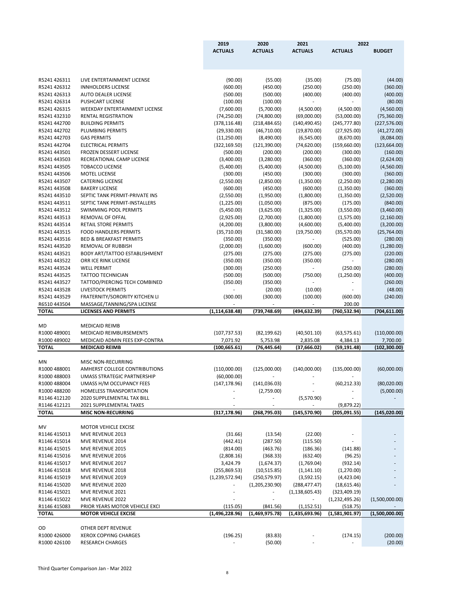|                              |                                                              | 2019<br><b>ACTUALS</b>        | 2020<br><b>ACTUALS</b>       | 2021<br><b>ACTUALS</b>       | <b>ACTUALS</b>               | 2022<br><b>BUDGET</b>         |
|------------------------------|--------------------------------------------------------------|-------------------------------|------------------------------|------------------------------|------------------------------|-------------------------------|
|                              |                                                              |                               |                              |                              |                              |                               |
| R5241 426311                 | LIVE ENTERTAINMENT LICENSE                                   | (90.00)                       | (55.00)                      | (35.00)                      | (75.00)                      | (44.00)                       |
| R5241 426312                 | <b>INNHOLDERS LICENSE</b>                                    | (600.00)                      | (450.00)                     | (250.00)                     | (250.00)                     | (360.00)                      |
| R5241 426313                 | <b>AUTO DEALER LICENSE</b>                                   | (500.00)                      | (500.00)                     | (400.00)                     | (400.00)                     | (400.00)                      |
| R5241 426314                 | <b>PUSHCART LICENSE</b>                                      | (100.00)                      | (100.00)                     |                              |                              | (80.00)                       |
| R5241 426315                 | WEEKDAY ENTERTAINMENT LICENSE                                | (7,600.00)                    | (5,700.00)                   | (4,500.00)                   | (4,500.00)                   | (4,560.00)                    |
| R5241 432310<br>R5241 442700 | RENTAL REGISTRATION<br><b>BUILDING PERMITS</b>               | (74, 250.00)                  | (74,800.00)                  | (69,000.00)                  | (53,000.00)                  | (75, 360.00)                  |
| R5241 442702                 | PLUMBING PERMITS                                             | (378, 116.48)<br>(29, 330.00) | (218, 484.65)<br>(46,710.00) | (140, 490.45)<br>(19,870.00) | (245,777.80)<br>(27, 925.00) | (227, 576.00)<br>(41, 272.00) |
| R5241 442703                 | <b>GAS PERMITS</b>                                           | (11,250.00)                   | (8,490.00)                   | (6, 545.00)                  | (8,670.00)                   | (8,084.00)                    |
| R5241 442704                 | <b>ELECTRICAL PERMITS</b>                                    | (322, 169.50)                 | (121, 390.00)                | (74, 620.00)                 | (159,660.00)                 | (123, 664.00)                 |
| R5241 443501                 | FROZEN DESSERT LICENSE                                       | (500.00)                      | (200.00)                     | (200.00)                     | (300.00)                     | (160.00)                      |
| R5241 443503                 | RECREATIONAL CAMP LICENSE                                    | (3,400.00)                    | (3,280.00)                   | (360.00)                     | (360.00)                     | (2,624.00)                    |
| R5241 443505                 | <b>TOBACCO LICENSE</b>                                       | (5,400.00)                    | (5,400.00)                   | (4,500.00)                   | (5,100.00)                   | (4,560.00)                    |
| R5241 443506                 | MOTEL LICENSE                                                | (300.00)                      | (450.00)                     | (300.00)                     | (300.00)                     | (360.00)                      |
| R5241 443507                 | <b>CATERING LICENSE</b>                                      | (2,550.00)                    | (2,850.00)                   | (1,350.00)                   | (2,250.00)                   | (2,280.00)                    |
| R5241 443508                 | <b>BAKERY LICENSE</b>                                        | (600.00)                      | (450.00)                     | (600.00)                     | (1,350.00)                   | (360.00)                      |
| R5241 443510                 | SEPTIC TANK PERMIT-PRIVATE INS                               | (2,550.00)                    | (1,950.00)                   | (1,800.00)                   | (1,350.00)                   | (2,520.00)                    |
| R5241 443511                 | SEPTIC TANK PERMIT-INSTALLERS                                | (1,225.00)                    | (1,050.00)                   | (875.00)                     | (175.00)                     | (840.00)                      |
| R5241 443512                 | <b>SWIMMING POOL PERMITS</b>                                 | (5,450.00)                    | (3,625.00)                   | (1,325.00)                   | (3,550.00)                   | (3,460.00)                    |
| R5241 443513                 | REMOVAL OF OFFAL                                             | (2,925.00)                    | (2,700.00)                   | (1,800.00)                   | (1,575.00)                   | (2,160.00)                    |
| R5241 443514                 | <b>RETAIL STORE PERMITS</b>                                  | (4,200.00)                    | (3,800.00)                   | (4,600.00)                   | (5,400.00)                   | (3,200.00)                    |
| R5241 443515                 | <b>FOOD HANDLERS PERMITS</b>                                 | (35,710.00)                   | (31,580.00)                  | (19,750.00)                  | (35,570.00)                  | (25,764.00)                   |
| R5241 443516                 | <b>BED &amp; BREAKFAST PERMITS</b>                           | (350.00)                      | (350.00)                     |                              | (525.00)                     | (280.00)                      |
| R5241 443520<br>R5241 443521 | REMOVAL OF RUBBISH                                           | (2,000.00)                    | (1,600.00)                   | (600.00)                     | (400.00)                     | (1,280.00)                    |
| R5241 443522                 | <b>BODY ART/TATTOO ESTABLISHMENT</b><br>ORR ICE RINK LICENSE | (275.00)<br>(350.00)          | (275.00)<br>(350.00)         | (275.00)<br>(350.00)         | (275.00)                     | (220.00)<br>(280.00)          |
| R5241 443524                 | <b>WELL PERMIT</b>                                           | (300.00)                      | (250.00)                     | $\qquad \qquad \blacksquare$ | (250.00)                     | (280.00)                      |
| R5241 443525                 | <b>TATTOO TECHNICIAN</b>                                     | (500.00)                      | (500.00)                     | (750.00)                     | (1,250.00)                   | (400.00)                      |
| R5241 443527                 | TATTOO/PIERCING TECH COMBINED                                | (350.00)                      | (350.00)                     | $\overline{\phantom{a}}$     |                              | (260.00)                      |
| R5241 443528                 | <b>LIVESTOCK PERMITS</b>                                     |                               | (20.00)                      | (10.00)                      |                              | (48.00)                       |
| R5241 443529                 | FRATERNITY/SORORITY KITCHEN LI                               | (300.00)                      | (300.00)                     | (100.00)                     | (600.00)                     | (240.00)                      |
| R6510 443504                 | MASSAGE/TANNING/SPA LICENSE                                  |                               |                              |                              | 200.00                       |                               |
| <b>TOTAL</b>                 | <b>LICENSES AND PERMITS</b>                                  | (1, 114, 638.48)              | (739, 748.69)                | (494, 632.39)                | (760, 532.94)                | (704, 611.00)                 |
|                              |                                                              |                               |                              |                              |                              |                               |
| MD                           | <b>MEDICAID REIMB</b>                                        |                               |                              |                              |                              |                               |
| R1000 489001                 | MEDICAID REIMBURSEMENTS                                      | (107, 737.53)                 | (82, 199.62)                 | (40,501.10)                  | (63, 575.61)                 | (110,000.00)                  |
| R1000 489002                 | MEDICAID ADMIN FEES EXP-CONTRA                               | 7,071.92                      | 5,753.98                     | 2,835.08                     | 4,384.13                     | 7,700.00                      |
| <b>TOTAL</b>                 | <b>MEDICAID REIMB</b>                                        | (100, 665.61)                 | (76, 445.64)                 | (37, 666.02)                 | (59, 191.48)                 | (102, 300.00)                 |
| MN                           | MISC NON-RECURRING                                           |                               |                              |                              |                              |                               |
| R1000 488001                 | AMHERST COLLEGE CONTRIBUTIONS                                | (110,000.00)                  | (125,000.00)                 | (140,000.00)                 | (135,000.00)                 | (60,000.00)                   |
| R1000 488003                 | UMASS STRATEGIC PARTNERSHIP                                  | (60,000.00)                   |                              |                              |                              |                               |
| R1000 488004                 | UMASS H/M OCCUPANCY FEES                                     | (147, 178.96)                 | (141, 036.03)                |                              | (60, 212.33)                 | (80,020.00)                   |
| R1000 488200                 | <b>HOMELESS TRANSPORTATION</b>                               |                               | (2,759.00)                   |                              |                              | (5,000.00)                    |
| R1146 412120                 | 2020 SUPPLEMENTAL TAX BILL                                   |                               |                              | (5,570.90)                   |                              |                               |
| R1146 412121                 | 2021 SUPPLEMENTAL TAXES                                      |                               |                              |                              | (9,879.22)                   |                               |
| <b>TOTAL</b>                 | <b>MISC NON-RECURRING</b>                                    | (317, 178.96)                 | (268, 795.03)                | (145, 570.90)                | (205,091.55)                 | (145, 020.00)                 |
|                              |                                                              |                               |                              |                              |                              |                               |
| MV                           | <b>MOTOR VEHICLE EXCISE</b>                                  |                               |                              |                              |                              |                               |
| R1146 415013                 | MVE REVENUE 2013                                             | (31.66)                       | (13.54)                      | (22.00)                      |                              |                               |
| R1146 415014<br>R1146 415015 | MVE REVENUE 2014<br>MVE REVENUE 2015                         | (442.41)                      | (287.50)                     | (115.50)                     |                              |                               |
| R1146 415016                 | MVE REVENUE 2016                                             | (814.00)<br>(2,808.16)        | (463.76)<br>(368.33)         | (186.36)<br>(632.40)         | (141.88)<br>(96.25)          |                               |
| R1146 415017                 | MVE REVENUE 2017                                             | 3,424.79                      | (1,674.37)                   | (1,769.04)                   | (932.14)                     |                               |
| R1146 415018                 | MVE REVENUE 2018                                             | (255,869.53)                  | (10,515.85)                  | (1, 141.10)                  | (1,270.00)                   |                               |
| R1146 415019                 | MVE REVENUE 2019                                             | (1,239,572.94)                | (250, 579.97)                | (3,592.15)                   | (4,423.04)                   |                               |
| R1146 415020                 | MVE REVENUE 2020                                             |                               | (1,205,230.90)               | (288, 477.47)                | (18,615.46)                  |                               |
| R1146 415021                 | MVE REVENUE 2021                                             |                               |                              | (1, 138, 605.43)             | (323, 409.19)                |                               |
| R1146 415022                 | MVE REVENUE 2022                                             |                               |                              |                              | (1,232,495.26)               | (1,500,000.00)                |
| R1146 415083                 | PRIOR YEARS MOTOR VEHICLE EXCI                               | (115.05)                      | (841.56)                     | (1, 152.51)                  | (518.75)                     |                               |
| <b>TOTAL</b>                 | <b>MOTOR VEHICLE EXCISE</b>                                  | (1,496,228.96)                | (1,469,975.78)               | (1,435,693.96)               | (1,581,901.97)               | (1,500,000.00)                |
|                              |                                                              |                               |                              |                              |                              |                               |
| OD.                          | OTHER DEPT REVENUE                                           |                               |                              |                              |                              |                               |
| R1000 426000                 | <b>XEROX COPYING CHARGES</b>                                 | (196.25)                      | (83.83)                      |                              | (174.15)                     | (200.00)                      |
| R1000 426100                 | <b>RESEARCH CHARGES</b>                                      |                               | (50.00)                      |                              |                              | (20.00)                       |

Third Quarter Comparison Jan - Mar 2022

8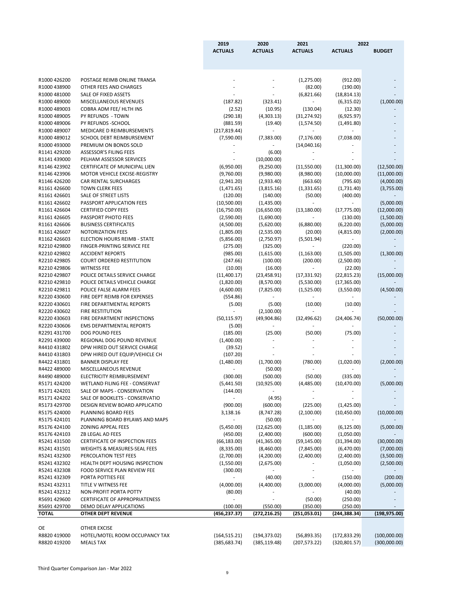|                              |                                                                | 2019               | 2020           | 2021<br>2022             |                |               |
|------------------------------|----------------------------------------------------------------|--------------------|----------------|--------------------------|----------------|---------------|
|                              |                                                                | <b>ACTUALS</b>     | <b>ACTUALS</b> | <b>ACTUALS</b>           | <b>ACTUALS</b> | <b>BUDGET</b> |
|                              |                                                                |                    |                |                          |                |               |
| R1000 426200                 | POSTAGE REIMB ONLINE TRANSA                                    |                    |                | (1,275.00)               | (912.00)       |               |
| R1000 438900                 | OTHER FEES AND CHARGES                                         |                    |                | (82.00)                  | (190.00)       |               |
| R1000 481000                 | SALE OF FIXED ASSETS                                           |                    |                | (6,821.66)               | (18, 814.13)   |               |
| R1000 489000                 | MISCELLANEOUS REVENUES                                         | (187.82)           | (323.41)       | $\overline{\phantom{a}}$ | (6,315.02)     | (1,000.00)    |
| R1000 489003                 | COBRA ADM FEE/ HLTH INS                                        | (2.52)             | (10.95)        | (130.04)                 | (12.30)        |               |
| R1000 489005                 | PY REFUNDS - TOWN                                              | (290.18)           | (4,303.13)     | (31, 274.92)             | (6,925.97)     |               |
| R1000 489006                 | PY REFUNDS -SCHOOL                                             | (881.59)           | (19.40)        | (1,574.50)               | (1,491.80)     |               |
| R1000 489007                 | MEDICARE D REIMBURSEMENTS                                      | (217, 819.44)      |                |                          |                |               |
| R1000 489012                 | SCHOOL DEBT REIMBURSEMENT                                      | (7,590.00)         | (7,383.00)     | (7, 176.00)              | (7,038.00)     |               |
| R1000 493000                 | PREMIUM ON BONDS SOLD                                          |                    |                | (14,040.16)              |                |               |
| R1141 429200                 | <b>ASSESSOR'S FILING FEES</b>                                  |                    | (6.00)         |                          |                |               |
| R1141 439000                 | PELHAM ASSESSOR SERVICES                                       |                    | (10,000.00)    |                          |                |               |
| R1146 423902                 | CERTIFICATE OF MUNICIPAL LIEN                                  | (6,950.00)         | (9,250.00)     | (11,550.00)              | (11,300.00)    | (12,500.00)   |
| R1146 423906                 | MOTOR VEHICLE EXCISE-REGISTRY                                  | (9,760.00)         | (9,980.00)     | (8,980.00)               | (10,000.00)    | (11,000.00)   |
| R1146 426200                 | CAR RENTAL SURCHARGES                                          | (2,941.20)         | (2,933.40)     | (663.60)                 | (795.60)       | (4,000.00)    |
| R1161 426600                 | <b>TOWN CLERK FEES</b>                                         | (1,471.65)         | (3,815.16)     | (1,331.65)               | (1,731.40)     | (3,755.00)    |
| R1161 426601                 | SALE OF STREET LISTS                                           | (120.00)           | (140.00)       | (50.00)                  | (400.00)       |               |
| R1161 426602                 | PASSPORT APPLICATION FEES                                      | (10,500.00)        | (1,435.00)     |                          |                | (5,000.00)    |
| R1161 426604                 | <b>CERTIFIED COPY FEES</b>                                     | (16,750.00)        | (16,650.00)    | (13, 180.00)             | (17, 775.00)   | (12,000.00)   |
| R1161 426605                 | PASSPORT PHOTO FEES                                            | (2,590.00)         | (1,690.00)     |                          | (130.00)       | (1,500.00)    |
| R1161 426606                 | <b>BUSINESS CERTIFICATES</b>                                   | (4,500.00)         | (5,620.00)     | (6,880.00)               | (6,220.00)     | (5,000.00)    |
| R1161 426607                 | <b>NOTORIZATION FEES</b>                                       | (1,805.00)         | (2,535.00)     | (20.00)                  | (4,815.00)     | (2,000.00)    |
| R1162 426603                 | <b>ELECTION HOURS REIMB - STATE</b>                            | (5,856.00)         | (2,750.97)     | (5,501.94)               | $\sim$         |               |
| R2210 429800                 | FINGER-PRINTING SERVICE FEE                                    | (275.00)           | (325.00)       |                          | (220.00)       |               |
| R2210 429802                 | <b>ACCIDENT REPORTS</b>                                        | (985.00)           | (1,615.00)     | (1, 163.00)              | (1,505.00)     | (1,300.00)    |
| R2210 429805                 | <b>COURT ORDERED RESTITUTION</b>                               | (247.66)           | (100.00)       | (200.00)                 | (2,500.00)     |               |
| R2210 429806                 | <b>WITNESS FEE</b>                                             | (10.00)            | (16.00)        |                          | (22.00)        |               |
| R2210 429807                 | POLICE DETAILS SERVICE CHARGE                                  | (11,400.17)        | (23, 458.91)   | (17, 331.92)             | (22, 815.23)   | (15,000.00)   |
| R2210 429810                 | POLICE DETAILS VEHICLE CHARGE                                  | (1,820.00)         | (8,570.00)     | (5,530.00)               | (17, 365.00)   |               |
| R2210 429811                 | POLICE FALSE ALARM FEES                                        | (4,600.00)         | (7,825.00)     | (1,525.00)               | (3,550.00)     | (4,500.00)    |
| R2220 430600                 | FIRE DEPT REIMB FOR EXPENSES                                   | (554.86)           |                |                          |                |               |
| R2220 430601                 | FIRE DEPARTMENTAL REPORTS                                      | (5.00)             | (5.00)         | (10.00)                  | (10.00)        |               |
| R2220 430602                 | FIRE RESTITUTION                                               |                    | (2,100.00)     |                          |                |               |
| R2220 430603<br>R2220 430606 | FIRE DEPARTMENT INSPECTIONS<br><b>EMS DEPARTMENTAL REPORTS</b> | (50, 115.97)       | (49,904.86)    | (32, 496.62)             | (24, 406.74)   | (50,000.00)   |
| R2291 431700                 | DOG POUND FEES                                                 | (5.00)<br>(185.00) | (25.00)        | (50.00)                  | (75.00)        |               |
| R2291 439000                 | REGIONAL DOG POUND REVENUE                                     | (1,400.00)         |                |                          |                |               |
| R4410 431802                 | DPW HIRED OUT SERVICE CHARGE                                   | (39.52)            |                |                          |                |               |
| R4410 431803                 | DPW HIRED OUT EQUIP/VEHICLE CH                                 | (107.20)           |                |                          |                |               |
| R4422 431801                 | <b>BANNER DISPLAY FEE</b>                                      | (1,480.00)         | (1,700.00)     | (780.00)                 | (1,020.00)     | (2,000.00)    |
| R4422 489000                 | MISCELLANEOUS REVENUE                                          | $\sim$             | (50.00)        |                          |                |               |
| R4490 489000                 | ELECTRICITY REIMBURSEMENT                                      | (300.00)           | (500.00)       | (50.00)                  | (335.00)       |               |
| R5171 424200                 | <b>WETLAND FILING FEE - CONSERVAT</b>                          | (5,441.50)         | (10, 925.00)   | (4,485.00)               | (10, 470.00)   | (5,000.00)    |
| R5171 424201                 | SALE OF MAPS - CONSERVATION                                    | (144.00)           |                |                          |                |               |
| R5171 424202                 | SALE OF BOOKLETS - CONSERVATIO                                 |                    | (4.95)         |                          |                |               |
| R5173 429700                 | DESIGN REVIEW BOARD APPLICATIO                                 | (900.00)           | (600.00)       | (225.00)                 | (1,425.00)     |               |
| R5175 424000                 | PLANNING BOARD FEES                                            | 3,138.16           | (8,747.28)     | (2,100.00)               | (10, 450.00)   | (10,000.00)   |
| R5175 424101                 | PLANNING BOARD BYLAWS AND MAPS                                 |                    | (50.00)        |                          |                |               |
| R5176 424100                 | <b>ZONING APPEAL FEES</b>                                      | (5,450.00)         | (12,625.00)    | (1, 185.00)              | (6, 125.00)    | (5,000.00)    |
| R5176 424103                 | ZB LEGAL AD FEES                                               | (450.00)           | (2,400.00)     | (600.00)                 | (1,050.00)     |               |
| R5241 431500                 | <b>CERTIFICATE OF INSPECTION FEES</b>                          | (66, 183.00)       | (41,365.00)    | (59, 145.00)             | (31, 394.00)   | (30,000.00)   |
| R5241 431501                 | <b>WEIGHTS &amp; MEASURES-SEAL FEES</b>                        | (8,335.00)         | (8,460.00)     | (7,845.00)               | (6,470.00)     | (7,000.00)    |
| R5241 432300                 | PERCOLATION TEST FEES                                          | (2,700.00)         | (4,200.00)     | (2,400.00)               | (2,400.00)     | (3,500.00)    |
| R5241 432302                 | HEALTH DEPT HOUSING INSPECTION                                 | (1,550.00)         | (2,675.00)     |                          | (1,050.00)     | (2,500.00)    |
| R5241 432308                 | FOOD SERVICE PLAN REVIEW FEE                                   | (300.00)           |                |                          |                |               |
| R5241 432309                 | PORTA POTTIES FEE                                              |                    | (40.00)        |                          | (150.00)       | (200.00)      |
| R5241 432311                 | TITLE V WITNESS FEE                                            | (4,000.00)         | (4,400.00)     | (3,000.00)               | (4,000.00)     | (5,000.00)    |
| R5241 432312                 | NON-PROFIT PORTA POTTY                                         | (80.00)            |                |                          | (40.00)        |               |
| R5691 429600                 | <b>CERTIFICATE OF APPROPRIATENESS</b>                          | $-$                |                | (50.00)                  | (250.00)       |               |
| R5691 429700                 | DEMO DELAY APPLICATIONS                                        | (100.00)           | (550.00)       | (350.00)                 | (250.00)       |               |
| <b>TOTAL</b>                 | <b>OTHER DEPT REVENUE</b>                                      | (456, 237.37)      | (272, 216.25)  | (251,053.01)             | (244, 388.34)  | (198, 975.00) |
|                              |                                                                |                    |                |                          |                |               |
| <b>OE</b>                    | <b>OTHER EXCISE</b>                                            |                    |                |                          |                |               |
| R8820 419000                 | HOTEL/MOTEL ROOM OCCUPANCY TAX                                 | (164, 515.21)      | (194, 373.02)  | (56,893.35)              | (172, 833.29)  | (100,000.00)  |
| R8820 419200                 | <b>MEALS TAX</b>                                               | (385, 683.74)      | (385, 119.48)  | (207, 573.22)            | (320, 801.57)  | (300,000.00)  |

Third Quarter Comparison Jan - Mar 2022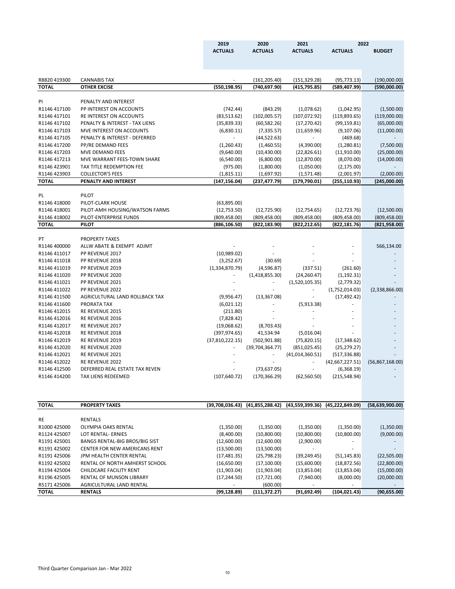|              |                                       | 2019            | 2020                                | 2021            |                   | 2022              |
|--------------|---------------------------------------|-----------------|-------------------------------------|-----------------|-------------------|-------------------|
|              |                                       | <b>ACTUALS</b>  | <b>ACTUALS</b>                      | <b>ACTUALS</b>  | <b>ACTUALS</b>    | <b>BUDGET</b>     |
|              |                                       |                 |                                     |                 |                   |                   |
|              |                                       |                 |                                     |                 |                   |                   |
|              |                                       |                 |                                     |                 |                   |                   |
| R8820 419300 | <b>CANNABIS TAX</b>                   |                 | (161, 205.40)                       | (151, 329.28)   | (95, 773.13)      | (190,000.00)      |
| <b>TOTAL</b> | <b>OTHER EXCISE</b>                   | (550, 198.95)   | (740, 697.90)                       | (415, 795.85)   | (589,407.99)      | (590,000.00)      |
|              |                                       |                 |                                     |                 |                   |                   |
| PI           | PENALTY AND INTEREST                  |                 |                                     |                 |                   |                   |
| R1146 417100 | PP INTEREST ON ACCOUNTS               | (742.44)        | (843.29)                            | (1,078.62)      | (1,042.95)        | (1,500.00)        |
| R1146 417101 | RE INTEREST ON ACCOUNTS               | (83,513.62)     | (102,005.57)                        | (107, 072.92)   | (119,893.65)      | (119,000.00)      |
| R1146 417102 | PENALTY & INTEREST - TAX LIENS        | (35,839.33)     | (60, 582.26)                        | (17, 270.42)    | (99, 159.81)      | (65,000.00)       |
| R1146 417103 | MVE INTEREST ON ACCOUNTS              | (6,830.11)      | (7, 335.57)                         | (11,659.96)     | (9,107.06)        | (11,000.00)       |
| R1146 417105 | PENALTY & INTEREST - DEFERRED         |                 | (44, 522.63)                        |                 | (469.68)          |                   |
| R1146 417200 | PP/RE DEMAND FEES                     | (1,260.43)      | (1,460.55)                          | (4,390.00)      | (1,280.81)        | (7,500.00)        |
| R1146 417203 | <b>MVE DEMAND FEES</b>                | (9,640.00)      | (10, 430.00)                        | (22,826.61)     | (11,910.00)       | (25,000.00)       |
| R1146 417213 | MVE WARRANT FEES-TOWN SHARE           | (6,540.00)      | (6,800.00)                          | (12,870.00)     | (8,070.00)        | (14,000.00)       |
| R1146 423901 | TAX TITLE REDEMPTION FEE              | (975.00)        | (1,800.00)                          | (1,050.00)      | (2, 175.00)       |                   |
| R1146 423903 | <b>COLLECTOR'S FEES</b>               | (1,815.11)      | (1,697.92)                          | (1,571.48)      | (2,001.97)        | (2,000.00)        |
| <b>TOTAL</b> | PENALTY AND INTEREST                  | (147, 156.04)   | (237, 477.79)                       | (179, 790.01)   | (255, 110.93)     | (245,000.00)      |
|              |                                       |                 |                                     |                 |                   |                   |
| PL.          | PILOT                                 |                 |                                     |                 |                   |                   |
| R1146 418000 | PILOT-CLARK HOUSE                     | (63,895.00)     |                                     |                 |                   |                   |
| R1146 418001 | PILOT-AMH HOUSING/WATSON FARMS        | (12,753.50)     | (12, 725.90)                        | (12,754.65)     | (12, 723.76)      | (12,500.00)       |
| R1146 418002 | PILOT-ENTERPRISE FUNDS                | (809, 458.00)   | (809, 458.00)                       | (809, 458.00)   | (809, 458.00)     | (809, 458.00)     |
| <b>TOTAL</b> | <b>PILOT</b>                          | (886, 106.50)   | (822, 183.90)                       | (822,212.65)    | (822,181.76)      | (821, 958.00)     |
|              |                                       |                 |                                     |                 |                   |                   |
| PT           | PROPERTY TAXES                        |                 |                                     |                 |                   |                   |
| R1146 400000 | ALLW ABATE & EXEMPT ADJMT             |                 |                                     |                 |                   | 566,134.00        |
| R1146 411017 | PP REVENUE 2017                       | (10,989.02)     |                                     |                 |                   |                   |
| R1146 411018 | PP REVENUE 2018                       | (3,252.67)      | (30.69)                             |                 |                   |                   |
| R1146 411019 | PP REVENUE 2019                       | (1,334,870.79)  | (4,596.87)                          | (337.51)        | (261.60)          |                   |
| R1146 411020 | PP REVENUE 2020                       |                 | (1,418,855.30)                      | (24, 260.47)    | (1, 192.31)       |                   |
| R1146 411021 | PP REVENUE 2021                       |                 |                                     | (1,520,105.35)  | (2,779.32)        |                   |
| R1146 411022 | PP REVENUE 2022                       |                 |                                     |                 | (1,752,014.03)    | (2,338,866.00)    |
| R1146 411500 | AGRICULTURAL LAND ROLLBACK TAX        | (9,956.47)      | (13, 367.08)                        |                 | (17, 492.42)      |                   |
| R1146 411600 | PRORATA TAX                           | (6,021.12)      |                                     | (5,913.38)      |                   |                   |
| R1146 412015 | RE REVENUE 2015                       | (211.80)        |                                     |                 |                   |                   |
| R1146 412016 | RE REVENUE 2016                       | (7,828.42)      |                                     |                 |                   |                   |
| R1146 412017 | RE REVENUE 2017                       | (19,068.62)     | (8,703.43)                          |                 |                   |                   |
| R1146 412018 | RE REVENUE 2018                       | (397, 974.65)   | 41,534.94                           | (5,016.04)      |                   |                   |
| R1146 412019 | RE REVENUE 2019                       | (37,810,222.15) | (502, 901.88)                       | (75,820.15)     | (17, 348.62)      |                   |
| R1146 412020 | RE REVENUE 2020                       |                 | (39,704,364.77)                     | (851, 025.45)   | (25, 279.27)      |                   |
| R1146 412021 | RE REVENUE 2021                       |                 |                                     | (41,014,360.51) | (517, 336.88)     |                   |
| R1146 412022 | RE REVENUE 2022                       |                 |                                     |                 | (42,667,227.51)   | (56,867,168.00)   |
| R1146 412500 | DEFERRED REAL ESTATE TAX REVEN        |                 | (73, 637.05)                        |                 | (6,368.19)        |                   |
| R1146 414200 | TAX LIENS REDEEMED                    | (107, 640.72)   | (170, 366.29)                       | (62, 560.50)    | (215, 548.94)     |                   |
|              |                                       |                 |                                     |                 |                   |                   |
| <b>TOTAL</b> | <b>PROPERTY TAXES</b>                 |                 | $(39,708,036.43)$ $(41,855,288.42)$ | (43,559,399.36) | (45, 222, 849.09) | (58, 639, 900.00) |
|              |                                       |                 |                                     |                 |                   |                   |
| <b>RE</b>    | <b>RENTALS</b>                        |                 |                                     |                 |                   |                   |
| R1000 425000 | OLYMPIA OAKS RENTAL                   | (1,350.00)      | (1,350.00)                          | (1,350.00)      | (1,350.00)        | (1,350.00)        |
| R1124 425007 | LOT RENTAL- ERNIES                    | (8,400.00)      | (10,800.00)                         | (10,800.00)     | (10,800.00)       | (9,000.00)        |
| R1191 425001 | <b>BANGS RENTAL-BIG BROS/BIG SIST</b> | (12,600.00)     | (12,600.00)                         | (2,900.00)      |                   |                   |
| R1191 425002 | <b>CENTER FOR NEW AMERICANS RENT</b>  | (13,500.00)     | (13,500.00)                         |                 |                   |                   |
|              |                                       | 10121           | ורר סחד                             |                 |                   |                   |

| <b>TOTAL</b> | <b>RENTALS</b>                 | (99, 128.89)             | (111, 372.27) | (91,692.49)              | (104, 021.43)            | (90, 655.00) |
|--------------|--------------------------------|--------------------------|---------------|--------------------------|--------------------------|--------------|
| R5171 425006 | AGRICULTURAL LAND RENTAL       | $\overline{\phantom{0}}$ | (600.00)      | $\overline{\phantom{0}}$ | $\overline{\phantom{0}}$ |              |
| R1196 425005 | RENTAL OF MUNSON LIBRARY       | (17,244.50)              | (17, 721.00)  | (7,940.00)               | (8,000.00)               | (20,000.00)  |
| R1194 425004 | CHILDCARE FACILITY RENT        | (11,903.04)              | (11,903.04)   | (13,853.04)              | (13,853.04)              | (15,000.00)  |
| R1192 425002 | RENTAL OF NORTH AMHERST SCHOOL | (16,650.00)              | (17, 100.00)  | (15,600.00)              | (18, 872.56)             | (22,800.00)  |
| RII9I 425006 | JPM HEALIH CENTER RENTAL       | (17,481.35)              | (25,798.23)   | (39,249.45)              | (51,145.83)              | (22,505.00)  |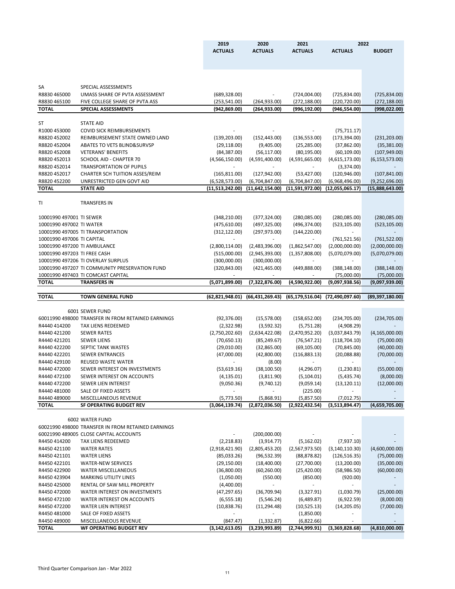|                              |                                                              | 2019              | 2020                       | 2021              |                   | 2022                          |
|------------------------------|--------------------------------------------------------------|-------------------|----------------------------|-------------------|-------------------|-------------------------------|
|                              |                                                              | <b>ACTUALS</b>    | <b>ACTUALS</b>             | <b>ACTUALS</b>    | <b>ACTUALS</b>    | <b>BUDGET</b>                 |
|                              |                                                              |                   |                            |                   |                   |                               |
|                              |                                                              |                   |                            |                   |                   |                               |
|                              |                                                              |                   |                            |                   |                   |                               |
| SA                           | SPECIAL ASSESSMENTS                                          |                   |                            |                   |                   |                               |
| R8830 465000                 | UMASS SHARE OF PVTA ASSESSMENT                               | (689, 328.00)     |                            | (724,004.00)      | (725, 834.00)     | (725, 834.00)                 |
| R8830 465100                 | FIVE COLLEGE SHARE OF PVTA ASS                               | (253, 541.00)     | (264, 933.00)              | (272, 188.00)     | (220, 720.00)     | (272, 188.00)                 |
| <b>TOTAL</b>                 | <b>SPECIAL ASSESSMENTS</b>                                   | (942, 869.00)     | (264, 933.00)              | (996, 192.00)     | (946, 554.00)     | (998, 022.00)                 |
|                              |                                                              |                   |                            |                   |                   |                               |
| <b>ST</b>                    | <b>STATE AID</b>                                             |                   |                            |                   |                   |                               |
| R1000 453000                 | <b>COVID SICK REIMBURSEMENTS</b>                             |                   |                            |                   | (75, 711.17)      |                               |
| R8820 452002                 | REIMBURSEMENT STATE OWNED LAND                               | (139, 203.00)     | (152, 443.00)              | (136, 553.00)     | (173, 394.00)     | (231, 203.00)                 |
| R8820 452004                 | ABATES TO VETS BLIND&SURVSP                                  | (29, 118.00)      | (9,405.00)                 | (25, 285.00)      | (37,862.00)       | (35, 381.00)                  |
| R8820 452008                 | <b>VETERANS' BENEFITS</b>                                    | (84, 387.00)      | (56, 117.00)               | (80, 195.00)      | (60, 109.00)      | (107, 949.00)                 |
| R8820 452013                 | <b>SCHOOL AID - CHAPTER 70</b>                               | (4,566,150.00)    | (4,591,400.00)             | (4,591,665.00)    | (4,615,173.00)    | (6, 153, 573.00)              |
| R8820 452014                 | <b>TRANSPORTATION OF PUPILS</b>                              |                   |                            |                   | (3,374.00)        |                               |
| R8820 452017                 | CHARTER SCH TUITION ASSES/REIM                               | (165, 811.00)     | (127, 942.00)              | (53, 427.00)      | (120, 946.00)     | (107, 841.00)                 |
| R8820 452200                 | UNRESTRICTED GEN GOVT AID                                    | (6,528,573.00)    | (6,704,847.00)             | (6,704,847.00)    | (6,968,496.00)    | (9,252,696.00)                |
| <b>TOTAL</b>                 | <b>STATE AID</b>                                             | (11,513,242.00)   | (11, 642, 154.00)          | (11,591,972.00)   | (12,055,065.17)   | (15,888,643.00)               |
|                              |                                                              |                   |                            |                   |                   |                               |
| T <sub>l</sub>               | <b>TRANSFERS IN</b>                                          |                   |                            |                   |                   |                               |
| 10001990 497001 TI SEWER     |                                                              | (348, 210.00)     | (377, 324.00)              | (280,085.00)      | (280,085.00)      |                               |
| 10001990 497002 TI WATER     |                                                              | (475, 610.00)     | (497, 325.00)              | (496, 374.00)     | (523, 105.00)     | (280,085.00)<br>(523, 105.00) |
|                              | 10001990 497005 TI TRANSPORTATION                            | (312, 122.00)     | (297, 973.00)              | (144, 220.00)     |                   |                               |
| 10001990 497006 TI CAPITAL   |                                                              |                   |                            |                   | (761, 521.56)     | (761, 522.00)                 |
| 10001990 497200 TI AMBULANCE |                                                              | (2,800,114.00)    | (2,483,396.00)             | (1,862,547.00)    | (2,000,000.00)    | (2,000,000.00)                |
| 10001990 497203 TI FREE CASH |                                                              | (515,000.00)      | (2,945,393.00)             | (1,357,808.00)    | (5,070,079.00)    | (5,070,079.00)                |
|                              | 10001990 497206 TI OVERLAY SURPLUS                           | (300,000.00)      | (300,000.00)               |                   |                   |                               |
|                              | 10001990 497207 TI COMMUNITY PRESERVATION FUND               | (320, 843.00)     | (421, 465.00)              | (449,888.00)      | (388, 148.00)     | (388, 148.00)                 |
|                              | 10001990 497403 TI COMCAST CAPITAL                           |                   |                            |                   | (75,000.00)       | (75,000.00)                   |
| <b>TOTAL</b>                 | <b>TRANSFERS IN</b>                                          | (5,071,899.00)    | (7,322,876.00)             | (4,590,922.00)    | (9,097,938.56)    | (9,097,939.00)                |
|                              |                                                              |                   |                            |                   |                   |                               |
| <b>TOTAL</b>                 | <b>TOWN GENERAL FUND</b>                                     | (62, 821, 948.01) | (66, 431, 269.43)          | (65, 179, 516.04) | (72, 490, 097.60) | (89, 397, 180.00)             |
|                              |                                                              |                   |                            |                   |                   |                               |
|                              | 6001 SEWER FUND                                              |                   |                            |                   |                   |                               |
|                              | 60011990 498000 TRANSFER IN FROM RETAINED EARNINGS           | (92, 376.00)      | (15,578.00)                | (158, 652.00)     | (234, 705.00)     | (234,705.00)                  |
| R4440 414200                 | TAX LIENS REDEEMED                                           | (2,322.98)        | (3,592.32)                 | (5,751.28)        | (4,908.29)        |                               |
| R4440 421200                 | <b>SEWER RATES</b>                                           | (2,750,202.60)    | (2,634,422.08)             | (2,470,952.20)    | (3,037,843.79)    | (4, 165, 000.00)              |
| R4440 421201                 | <b>SEWER LIENS</b>                                           | (70, 650.13)      | (85, 249.67)               | (76, 547.21)      | (118, 704.10)     | (75,000.00)                   |
| R4440 422200                 | SEPTIC TANK WASTES                                           | (29,010.00)       | (32,865.00)                | (69, 105.00)      | (70, 845.00)      | (40,000.00)                   |
| R4440 422201                 | <b>SEWER ENTRANCES</b>                                       | (47,000.00)       | (42,800.00)                | (116,883.13)      | (20,088.88)       | (70,000.00)                   |
| R4440 429100                 | <b>REUSED WASTE WATER</b>                                    |                   | (8.00)                     |                   |                   |                               |
| R4440 472000                 | SEWER INTEREST ON INVESTMENTS                                | (53,619.16)       | (38, 100.50)               | (4,296.07)        | (1,230.81)        | (55,000.00)                   |
| R4440 472100                 | SEWER INTEREST ON ACCOUNTS                                   | (4, 135.01)       | (3,811.90)                 | (5, 104.01)       | (5,435.74)        | (8,000.00)                    |
| R4440 472200                 | SEWER LIEN INTEREST                                          | (9,050.36)        | (9,740.12)                 | (9,059.14)        | (13, 120.11)      | (12,000.00)                   |
| R4440 481000                 | SALE OF FIXED ASSETS                                         |                   |                            | (225.00)          |                   |                               |
| R4440 489000                 | MISCELLANEOUS REVENUE                                        | (5,773.50)        | (5,868.91)                 | (5,857.50)        | (7,012.75)        |                               |
| <b>TOTAL</b>                 | <b>SF OPERATING BUDGET REV</b>                               | (3,064,139.74)    | (2,872,036.50)             | (2,922,432.54)    | (3,513,894.47)    | (4,659,705.00)                |
|                              |                                                              |                   |                            |                   |                   |                               |
|                              | 6002 WATER FUND                                              |                   |                            |                   |                   |                               |
|                              | 60021990 498000 TRANSFER IN FROM RETAINED EARNINGS           |                   |                            |                   |                   |                               |
| R4450 414200                 | 60021990 489005 CLOSE CAPITAL ACCOUNTS<br>TAX LIENS REDEEMED | (2, 218.83)       | (200,000.00)<br>(3,914.77) | (5, 162.02)       | (7,937.10)        |                               |
| R4450 421100                 | <b>WATER RATES</b>                                           | (2,918,421.90)    | (2,805,453.20)             | (2,567,973.50)    | (3, 140, 110.30)  | (4,600,000.00)                |
|                              |                                                              |                   |                            |                   |                   |                               |

| <b>TOTAL</b> | WE OPERATING BUDGET REV       | (3, 142, 613.05) | (3,239,993.89) | (2,744,999.91) | (3,369,828.68)           | (4,810,000.00) |
|--------------|-------------------------------|------------------|----------------|----------------|--------------------------|----------------|
| R4450 489000 | <b>MISCELLANEOUS REVENUE</b>  | (847.47)         | (1,332.87)     | (6,822.66)     | $\overline{\phantom{a}}$ |                |
| R4450481000  | SALE OF FIXED ASSETS          |                  |                | (1,850.00)     |                          |                |
| R4450472200  | <b>WATER LIEN INTEREST</b>    | (10,838.76)      | (11, 294.48)   | (10,525.13)    | (14, 205.05)             | (7,000.00)     |
| R4450 472100 | WATER INTEREST ON ACCOUNTS    | (6, 555.18)      | (5, 546.24)    | (6,489.87)     | (6,922.59)               | (8,000.00)     |
| R4450472000  | WATER INTEREST ON INVESTMENTS | (47, 297.65)     | (36,709.94)    | (3,327.91)     | (1,030.79)               | (25,000.00)    |
| R4450 425000 | RENTAL OF SAW MILL PROPERTY   | (4,400.00)       |                |                |                          |                |
| R4450 423904 | <b>MARKING UTILITY LINES</b>  | (1,050.00)       | (550.00)       | (850.00)       | (920.00)                 |                |
| R4450422900  | <b>WATER MISCELLANEOUS</b>    | (36,800.00)      | (60, 260.00)   | (25, 420.00)   | (58,986.50)              | (60,000.00)    |
| R4450422101  | <b>WATER-NEW SERVICES</b>     | (29, 150.00)     | (18,400.00)    | (27,700.00)    | (13,200.00)              | (35,000.00)    |
| R4450421101  | <b>WATER LIENS</b>            | (85,033.26)      | (96, 532.39)   | (88, 878.82)   | (126, 516.35)            | (75,000.00)    |

Third Quarter Comparison Jan - Mar 2022